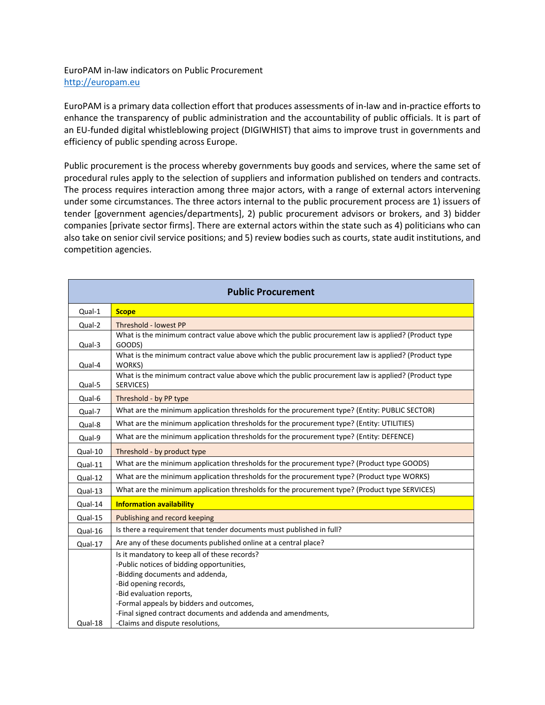## EuroPAM in-law indicators on Public Procurement [http://europam.eu](http://europam.eu/)

EuroPAM is a primary data collection effort that produces assessments of in-law and in-practice efforts to enhance the transparency of public administration and the accountability of public officials. It is part of an EU-funded digital whistleblowing project (DIGIWHIST) that aims to improve trust in governments and efficiency of public spending across Europe.

Public procurement is the process whereby governments buy goods and services, where the same set of procedural rules apply to the selection of suppliers and information published on tenders and contracts. The process requires interaction among three major actors, with a range of external actors intervening under some circumstances. The three actors internal to the public procurement process are 1) issuers of tender [government agencies/departments], 2) public procurement advisors or brokers, and 3) bidder companies [private sector firms]. There are external actors within the state such as 4) politicians who can also take on senior civil service positions; and 5) review bodies such as courts, state audit institutions, and competition agencies.

| <b>Public Procurement</b> |                                                                                                                                                                                                                                                                                                |  |
|---------------------------|------------------------------------------------------------------------------------------------------------------------------------------------------------------------------------------------------------------------------------------------------------------------------------------------|--|
| Qual-1                    | <b>Scope</b>                                                                                                                                                                                                                                                                                   |  |
| Qual-2                    | <b>Threshold - lowest PP</b>                                                                                                                                                                                                                                                                   |  |
| Qual-3                    | What is the minimum contract value above which the public procurement law is applied? (Product type<br>GOODS)                                                                                                                                                                                  |  |
| Qual-4                    | What is the minimum contract value above which the public procurement law is applied? (Product type<br>WORKS)                                                                                                                                                                                  |  |
| Qual-5                    | What is the minimum contract value above which the public procurement law is applied? (Product type<br>SERVICES)                                                                                                                                                                               |  |
| Qual-6                    | Threshold - by PP type                                                                                                                                                                                                                                                                         |  |
| Qual-7                    | What are the minimum application thresholds for the procurement type? (Entity: PUBLIC SECTOR)                                                                                                                                                                                                  |  |
| Qual-8                    | What are the minimum application thresholds for the procurement type? (Entity: UTILITIES)                                                                                                                                                                                                      |  |
| Qual-9                    | What are the minimum application thresholds for the procurement type? (Entity: DEFENCE)                                                                                                                                                                                                        |  |
| Qual-10                   | Threshold - by product type                                                                                                                                                                                                                                                                    |  |
| Qual-11                   | What are the minimum application thresholds for the procurement type? (Product type GOODS)                                                                                                                                                                                                     |  |
| Qual-12                   | What are the minimum application thresholds for the procurement type? (Product type WORKS)                                                                                                                                                                                                     |  |
| Qual-13                   | What are the minimum application thresholds for the procurement type? (Product type SERVICES)                                                                                                                                                                                                  |  |
| Qual-14                   | <b>Information availability</b>                                                                                                                                                                                                                                                                |  |
| Qual-15                   | Publishing and record keeping                                                                                                                                                                                                                                                                  |  |
| Qual-16                   | Is there a requirement that tender documents must published in full?                                                                                                                                                                                                                           |  |
| Qual-17                   | Are any of these documents published online at a central place?                                                                                                                                                                                                                                |  |
|                           | Is it mandatory to keep all of these records?<br>-Public notices of bidding opportunities,<br>-Bidding documents and addenda,<br>-Bid opening records,<br>-Bid evaluation reports,<br>-Formal appeals by bidders and outcomes,<br>-Final signed contract documents and addenda and amendments, |  |
| Qual-18                   | -Claims and dispute resolutions,                                                                                                                                                                                                                                                               |  |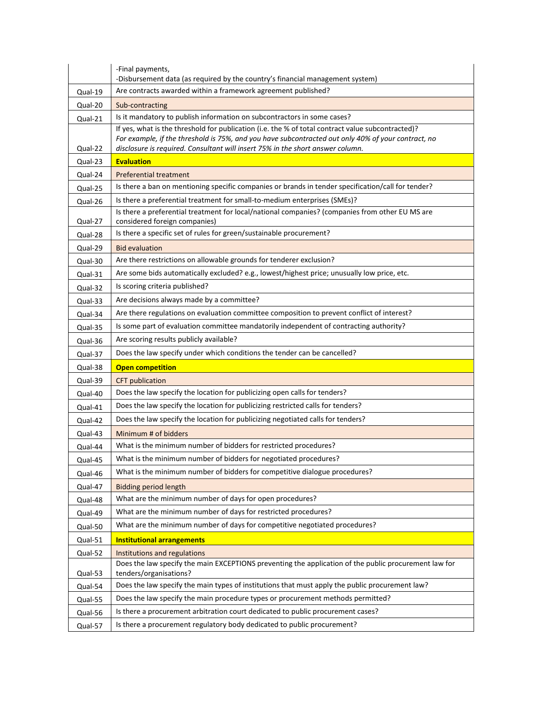|         | -Final payments,                                                                                                                                                                                        |
|---------|---------------------------------------------------------------------------------------------------------------------------------------------------------------------------------------------------------|
|         | -Disbursement data (as required by the country's financial management system)                                                                                                                           |
| Qual-19 | Are contracts awarded within a framework agreement published?                                                                                                                                           |
| Qual-20 | Sub-contracting                                                                                                                                                                                         |
| Qual-21 | Is it mandatory to publish information on subcontractors in some cases?                                                                                                                                 |
|         | If yes, what is the threshold for publication (i.e. the % of total contract value subcontracted)?<br>For example, if the threshold is 75%, and you have subcontracted out only 40% of your contract, no |
| Qual-22 | disclosure is required. Consultant will insert 75% in the short answer column.                                                                                                                          |
| Qual-23 | <b>Evaluation</b>                                                                                                                                                                                       |
| Qual-24 | <b>Preferential treatment</b>                                                                                                                                                                           |
| Qual-25 | Is there a ban on mentioning specific companies or brands in tender specification/call for tender?                                                                                                      |
| Qual-26 | Is there a preferential treatment for small-to-medium enterprises (SMEs)?                                                                                                                               |
| Qual-27 | Is there a preferential treatment for local/national companies? (companies from other EU MS are<br>considered foreign companies)                                                                        |
| Qual-28 | Is there a specific set of rules for green/sustainable procurement?                                                                                                                                     |
| Qual-29 | <b>Bid evaluation</b>                                                                                                                                                                                   |
| Qual-30 | Are there restrictions on allowable grounds for tenderer exclusion?                                                                                                                                     |
| Qual-31 | Are some bids automatically excluded? e.g., lowest/highest price; unusually low price, etc.                                                                                                             |
| Qual-32 | Is scoring criteria published?                                                                                                                                                                          |
| Qual-33 | Are decisions always made by a committee?                                                                                                                                                               |
| Qual-34 | Are there regulations on evaluation committee composition to prevent conflict of interest?                                                                                                              |
| Qual-35 | Is some part of evaluation committee mandatorily independent of contracting authority?                                                                                                                  |
| Qual-36 | Are scoring results publicly available?                                                                                                                                                                 |
| Qual-37 | Does the law specify under which conditions the tender can be cancelled?                                                                                                                                |
| Qual-38 | <b>Open competition</b>                                                                                                                                                                                 |
| Qual-39 | <b>CFT</b> publication                                                                                                                                                                                  |
| Qual-40 | Does the law specify the location for publicizing open calls for tenders?                                                                                                                               |
| Qual-41 | Does the law specify the location for publicizing restricted calls for tenders?                                                                                                                         |
| Qual-42 | Does the law specify the location for publicizing negotiated calls for tenders?                                                                                                                         |
| Qual-43 | Minimum # of bidders                                                                                                                                                                                    |
| Qual-44 | What is the minimum number of bidders for restricted procedures?                                                                                                                                        |
| Qual-45 | What is the minimum number of bidders for negotiated procedures?                                                                                                                                        |
| Qual-46 | What is the minimum number of bidders for competitive dialogue procedures?                                                                                                                              |
| Qual-47 | <b>Bidding period length</b>                                                                                                                                                                            |
| Qual-48 | What are the minimum number of days for open procedures?                                                                                                                                                |
| Qual-49 | What are the minimum number of days for restricted procedures?                                                                                                                                          |
| Qual-50 | What are the minimum number of days for competitive negotiated procedures?                                                                                                                              |
| Qual-51 | <b>Institutional arrangements</b>                                                                                                                                                                       |
| Qual-52 | Institutions and regulations                                                                                                                                                                            |
| Qual-53 | Does the law specify the main EXCEPTIONS preventing the application of the public procurement law for<br>tenders/organisations?                                                                         |
| Qual-54 | Does the law specify the main types of institutions that must apply the public procurement law?                                                                                                         |
| Qual-55 | Does the law specify the main procedure types or procurement methods permitted?                                                                                                                         |
|         |                                                                                                                                                                                                         |
| Qual-56 | Is there a procurement arbitration court dedicated to public procurement cases?                                                                                                                         |